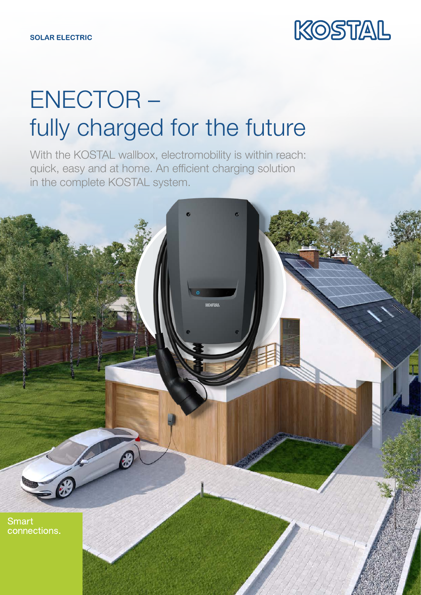

## ENECTOR – fully charged for the future

With the KOSTAL wallbox, electromobility is within reach: quick, easy and at home. An efficient charging solution in the complete KOSTAL system.

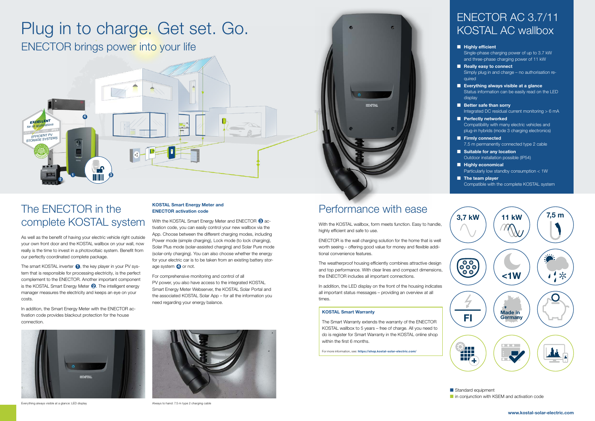# Plug in to charge. Get set. Go.

ENECTOR brings power into your life

### Performance with ease

With the KOSTAL wallbox, form meets function. Easy to handle, highly efficient and safe to use.

ENECTOR is the wall charging solution for the home that is well worth seeing – offering good value for money and flexible additional convenience features.

The weatherproof housing efficiently combines attractive design and top performance. With clear lines and compact dimensions, the ENECTOR includes all important connections.

In addition, the LED display on the front of the housing indicates all important status messages – providing an overview at all times.

### ENECTOR AC 3.7/11 KOSTAL AC wallbox

|     | <b>Highly efficient</b><br>Single-phase charging power of up to 3.7 kW<br>and three-phase charging power of 11 kW            |
|-----|------------------------------------------------------------------------------------------------------------------------------|
|     | <b>Really easy to connect</b><br>Simply plug in and charge - no authorisation re-<br>quired                                  |
|     | Everything always visible at a glance<br>Status information can be easily read on the LED<br>display                         |
|     | <b>Better safe than sorry</b><br>Integrated DC residual current monitoring $> 6$ mA                                          |
| n a | <b>Perfectly networked</b><br>Compatibility with many electric vehicles and<br>plug-in hybrids (mode 3 charging electronics) |
|     | <b>Firmly connected</b><br>7.5 m permanently connected type 2 cable                                                          |
|     | <b>Suitable for any location</b><br>Outdoor installation possible (IP54)                                                     |
| I.  | <b>Highly economical</b><br>Particularly low standby consumption $< 1W$                                                      |
|     | The team player                                                                                                              |

The smart KOSTAL inverter  $\bigcirc$ , the key player in your PV system that is responsible for processing electricity, is the perfect complement to the ENECTOR. Another important component is the KOSTAL Smart Energy Meter  $\bigcirc$ . The intelligent energy manager measures the electricity and keeps an eye on your costs.

In addition, the Smart Energy Meter with the ENECTOR activation code provides blackout protection for the house connection.

Compatible with the complete KOSTAL system



Standard equipment in conjunction with KSEM and activation code

#### KOSTAL Smart Warranty

The Smart Warranty extends the warranty of the ENECTOR KOSTAL wallbox to 5 years – free of charge. All you need to do is register for Smart Warranty in the KOSTAL online shop within the first 6 months.

For more information, see: https://shop.kostal-solar-electric.com/

## The ENECTOR in the complete KOSTAL system

As well as the benefit of having your electric vehicle right outside your own front door and the KOSTAL wallbox on your wall, now really is the time to invest in a photovoltaic system. Benefit from our perfectly coordinated complete package.

#### KOSTAL Smart Energy Meter and ENECTOR activation code

With the KOSTAL Smart Energy Meter and ENECTOR  $\bigcirc$  activation code, you can easily control your new wallbox via the App. Choose between the different charging modes, including Power mode (simple charging), Lock mode (to lock charging), Solar Plus mode (solar-assisted charging) and Solar Pure mode (solar-only charging). You can also choose whether the energy for your electric car is to be taken from an existing battery storage system **4** or not.

For comprehensive monitoring and control of all PV power, you also have access to the integrated KOSTAL Smart Energy Meter Webserver, the KOSTAL Solar Portal and the associated KOSTAL Solar App – for all the information you need regarding your energy balance.



Everything always visible at a glance: LED display Always to hand: 7.5 m type 2 charging cable